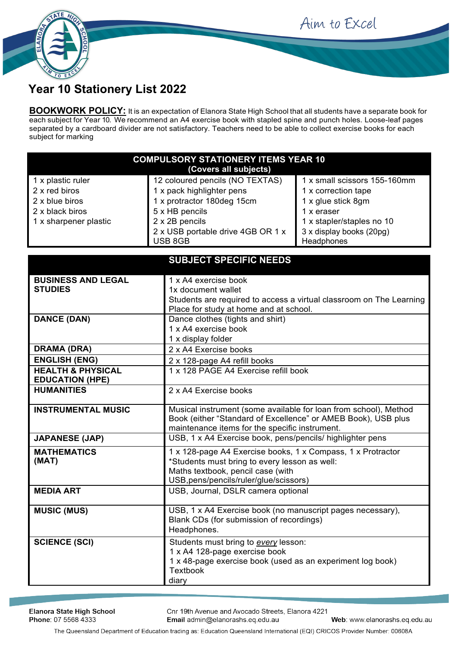

## Aim to Excel

## **Year 10 Stationery List 2022**

**BOOKWORK POLICY:** It is an expectation of Elanora State High School that all students have a separate book for each subject for Year 10. We recommend an A4 exercise book with stapled spine and punch holes. Loose-leaf pages separated by a cardboard divider are not satisfactory. Teachers need to be able to collect exercise books for each subject for marking

| <b>COMPULSORY STATIONERY ITEMS YEAR 10</b><br>(Covers all subjects) |                                              |                                        |  |
|---------------------------------------------------------------------|----------------------------------------------|----------------------------------------|--|
| 1 x plastic ruler                                                   | 12 coloured pencils (NO TEXTAS)              | 1 x small scissors 155-160mm           |  |
| 2 x red biros                                                       | 1 x pack highlighter pens                    | 1 x correction tape                    |  |
| 2 x blue biros                                                      | 1 x protractor 180deg 15cm                   | 1 x glue stick 8gm                     |  |
| 2 x black biros                                                     | 5 x HB pencils                               | 1 x eraser                             |  |
| 1 x sharpener plastic                                               | 2 x 2B pencils                               | 1 x stapler/staples no 10              |  |
|                                                                     | 2 x USB portable drive 4GB OR 1 x<br>USB 8GB | 3 x display books (20pg)<br>Headphones |  |

|                                                        | <b>SUBJECT SPECIFIC NEEDS</b>                                                                                                                                                               |  |
|--------------------------------------------------------|---------------------------------------------------------------------------------------------------------------------------------------------------------------------------------------------|--|
| <b>BUSINESS AND LEGAL</b><br><b>STUDIES</b>            | 1 x A4 exercise book<br>1x document wallet<br>Students are required to access a virtual classroom on The Learning<br>Place for study at home and at school.                                 |  |
| <b>DANCE (DAN)</b>                                     | Dance clothes (tights and shirt)<br>1 x A4 exercise book<br>1 x display folder                                                                                                              |  |
| <b>DRAMA (DRA)</b>                                     | 2 x A4 Exercise books                                                                                                                                                                       |  |
| <b>ENGLISH (ENG)</b>                                   | 2 x 128-page A4 refill books                                                                                                                                                                |  |
| <b>HEALTH &amp; PHYSICAL</b><br><b>EDUCATION (HPE)</b> | 1 x 128 PAGE A4 Exercise refill book                                                                                                                                                        |  |
| <b>HUMANITIES</b>                                      | 2 x A4 Exercise books                                                                                                                                                                       |  |
| <b>INSTRUMENTAL MUSIC</b>                              | Musical instrument (some available for loan from school), Method<br>Book (either "Standard of Excellence" or AMEB Book), USB plus<br>maintenance items for the specific instrument.         |  |
| <b>JAPANESE (JAP)</b>                                  | USB, 1 x A4 Exercise book, pens/pencils/ highlighter pens                                                                                                                                   |  |
| <b>MATHEMATICS</b><br>(MAT)                            | 1 x 128-page A4 Exercise books, 1 x Compass, 1 x Protractor<br>*Students must bring to every lesson as well:<br>Maths textbook, pencil case (with<br>USB, pens/pencils/ruler/glue/scissors) |  |
| <b>MEDIA ART</b>                                       | USB, Journal, DSLR camera optional                                                                                                                                                          |  |
| <b>MUSIC (MUS)</b>                                     | USB, 1 x A4 Exercise book (no manuscript pages necessary),<br>Blank CDs (for submission of recordings)<br>Headphones.                                                                       |  |
| <b>SCIENCE (SCI)</b>                                   | Students must bring to every lesson:<br>1 x A4 128-page exercise book<br>1 x 48-page exercise book (used as an experiment log book)<br><b>Textbook</b><br>diary                             |  |

Cnr 19th Avenue and Avocado Streets, Elanora 4221 Email admin@elanorashs.eq.edu.au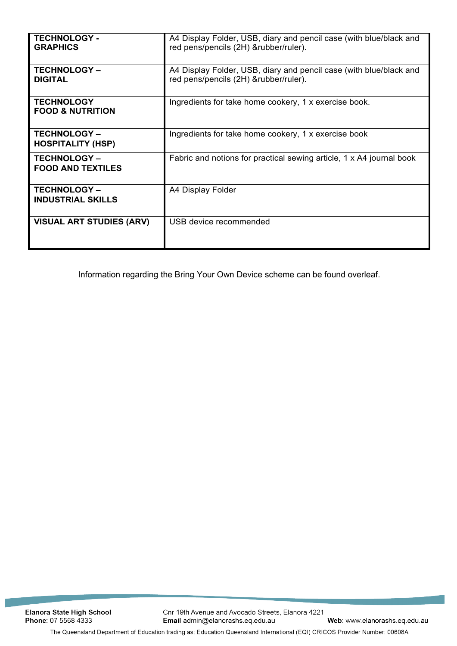| <b>TECHNOLOGY -</b><br><b>GRAPHICS</b>           | A4 Display Folder, USB, diary and pencil case (with blue/black and<br>red pens/pencils (2H) &rubber/ruler). |
|--------------------------------------------------|-------------------------------------------------------------------------------------------------------------|
| <b>TECHNOLOGY-</b><br><b>DIGITAL</b>             | A4 Display Folder, USB, diary and pencil case (with blue/black and<br>red pens/pencils (2H) &rubber/ruler). |
| <b>TECHNOLOGY</b><br><b>FOOD &amp; NUTRITION</b> | Ingredients for take home cookery, 1 x exercise book.                                                       |
| <b>TECHNOLOGY-</b><br><b>HOSPITALITY (HSP)</b>   | Ingredients for take home cookery, 1 x exercise book                                                        |
| <b>TECHNOLOGY-</b><br><b>FOOD AND TEXTILES</b>   | Fabric and notions for practical sewing article, 1 x A4 journal book                                        |
| <b>TECHNOLOGY-</b><br><b>INDUSTRIAL SKILLS</b>   | A4 Display Folder                                                                                           |
| <b>VISUAL ART STUDIES (ARV)</b>                  | USB device recommended                                                                                      |

Information regarding the Bring Your Own Device scheme can be found overleaf.